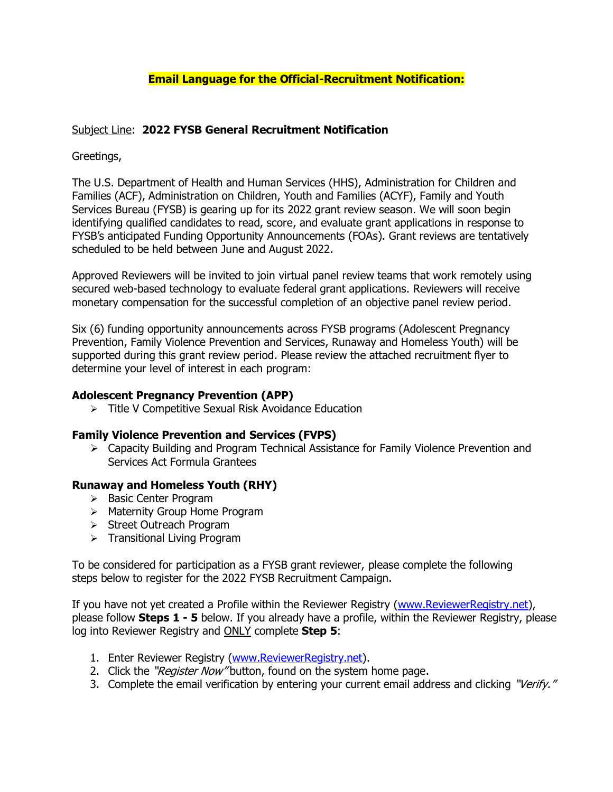# **Email Language for the Official-Recruitment Notification:**

## Subject Line: **2022 FYSB General Recruitment Notification**

# Greetings,

The U.S. Department of Health and Human Services (HHS), Administration for Children and Families (ACF), Administration on Children, Youth and Families (ACYF), Family and Youth Services Bureau (FYSB) is gearing up for its 2022 grant review season. We will soon begin identifying qualified candidates to read, score, and evaluate grant applications in response to FYSB's anticipated Funding Opportunity Announcements (FOAs). Grant reviews are tentatively scheduled to be held between June and August 2022.

Approved Reviewers will be invited to join virtual panel review teams that work remotely using secured web-based technology to evaluate federal grant applications. Reviewers will receive monetary compensation for the successful completion of an objective panel review period.

Six (6) funding opportunity announcements across FYSB programs (Adolescent Pregnancy Prevention, Family Violence Prevention and Services, Runaway and Homeless Youth) will be supported during this grant review period. Please review the attached recruitment flyer to determine your level of interest in each program:

#### **Adolescent Pregnancy Prevention (APP)**

➢ Title V Competitive Sexual Risk Avoidance Education

### **Family Violence Prevention and Services (FVPS)**

➢ Capacity Building and Program Technical Assistance for Family Violence Prevention and Services Act Formula Grantees

### **Runaway and Homeless Youth (RHY)**

- ➢ Basic Center Program
- ➢ Maternity Group Home Program
- ➢ Street Outreach Program
- ➢ Transitional Living Program

To be considered for participation as a FYSB grant reviewer, please complete the following steps below to register for the 2022 FYSB Recruitment Campaign.

If you have not yet created a Profile within the Reviewer Registry [\(www.ReviewerRegistry.net\)](http://www.reviewerregistry.net/), please follow **Steps 1 - 5** below. If you already have a profile, within the Reviewer Registry, please log into Reviewer Registry and ONLY complete **Step 5**:

- 1. Enter Reviewer Registry [\(www.ReviewerRegistry.net\)](http://www.reviewerregistry.net/).
- 2. Click the "Register Now" button, found on the system home page.
- 3. Complete the email verification by entering your current email address and clicking "Verify."